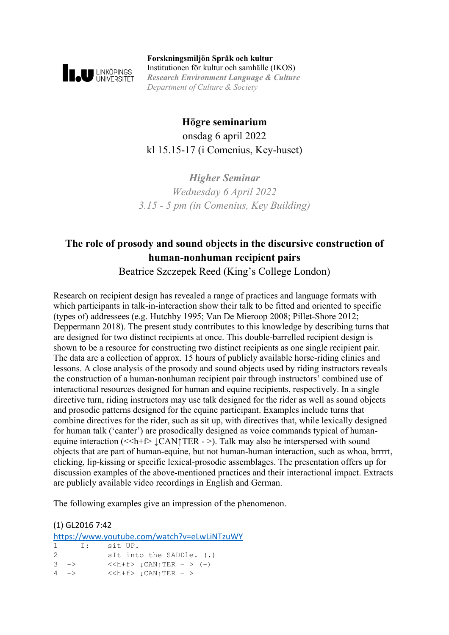

**Forskningsmiljön Språk och kultur** Institutionen för kultur och samhälle (IKOS) *Research Environment Language & Culture Department of Culture & Society*

# **Högre seminarium** onsdag 6 april 2022 kl 15.15-17 (i Comenius, Key-huset)

*Higher Seminar Wednesday 6 April 2022 3.15 - 5 pm (in Comenius, Key Building)*

# **The role of prosody and sound objects in the discursive construction of human-nonhuman recipient pairs**

Beatrice Szczepek Reed (King's College London)

Research on recipient design has revealed a range of practices and language formats with which participants in talk-in-interaction show their talk to be fitted and oriented to specific (types of) addressees (e.g. Hutchby 1995; Van De Mieroop 2008; Pillet-Shore 2012; Deppermann 2018). The present study contributes to this knowledge by describing turns that are designed for two distinct recipients at once. This double-barrelled recipient design is shown to be a resource for constructing two distinct recipients as one single recipient pair. The data are a collection of approx. 15 hours of publicly available horse-riding clinics and lessons. A close analysis of the prosody and sound objects used by riding instructors reveals the construction of a human-nonhuman recipient pair through instructors' combined use of interactional resources designed for human and equine recipients, respectively. In a single directive turn, riding instructors may use talk designed for the rider as well as sound objects and prosodic patterns designed for the equine participant. Examples include turns that combine directives for the rider, such as sit up, with directives that, while lexically designed for human talk ('canter') are prosodically designed as voice commands typical of humanequine interaction ( $\le h + f$ )  $\angle$  CAN $\uparrow$ TER - >). Talk may also be interspersed with sound objects that are part of human-equine, but not human-human interaction, such as whoa, brrrrt, clicking, lip-kissing or specific lexical-prosodic assemblages. The presentation offers up for discussion examples of the above-mentioned practices and their interactional impact. Extracts are publicly available video recordings in English and German.

The following examples give an impression of the phenomenon.

(1) GL2016 7:42 <https://www.youtube.com/watch?v=eLwLiNTzuWY> 1 I: sit UP. 2  $\qquad$  sIt into the SADDle. (.)<br>3 ->  $\qquad$  <<h+f>  $\angle$  CAN<sub>1</sub>TER - > (-)  $3 \quad \Rightarrow \qquad \qquad < \quad \downarrow \text{CAN}_\uparrow \text{TER} \ - \ > \ \ (-)$ <br> $4 \quad \Rightarrow \qquad \qquad < \quad \downarrow \text{CAN}_\uparrow \text{TER} \ - \ >$  $\langle$  < h + f >  $\downarrow$  CAN $\uparrow$  TER – >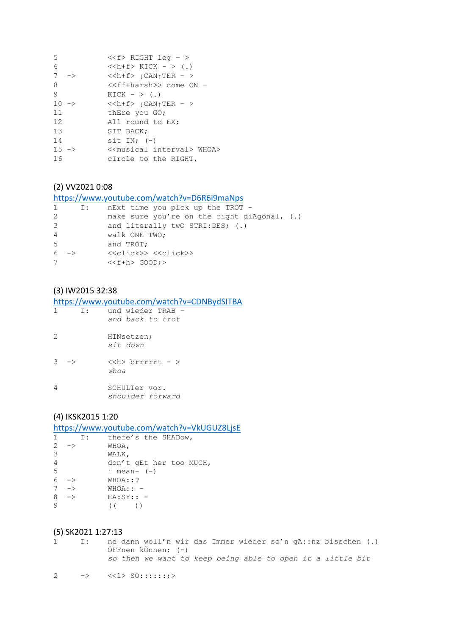| $<$ RIGHT leq - $>$                                     |
|---------------------------------------------------------|
| $\langle$ <h+f> KICK - &gt; (.)</h+f>                   |
| $\langle$ < h + f > $\downarrow$ CAN $\uparrow$ TER - > |
| < <ff+harsh>&gt; come ON -</ff+harsh>                   |
| KICK $ >$ (.)                                           |
| $<$ $\downarrow$ CAN $\uparrow$ TER - >                 |
| thEre you GO;                                           |
| All round to EX;                                        |
| SIT BACK;                                               |
| sit IN; $(-)$                                           |
| < <musical interval=""> WHOA&gt;</musical>              |
| cIrcle to the RIGHT,                                    |
| $\rightarrow$<br>$10 - \ge$<br>$15 - \ge$               |

### (2) VV2021 0:08

https://www.youtube.com/watch?v=D6R6i9maNps

|   | $\mathbf{I}$ : | nExt time you pick up the TROT -              |
|---|----------------|-----------------------------------------------|
| 2 |                | make sure you're on the right diAgonal, $(.)$ |
| 3 |                | and literally two STRI:DES; (.)               |
| 4 |                | walk ONE TWO;                                 |
| 5 |                | and TROT;                                     |
|   | $6 - >$        | < <click>&gt; &lt;<click>&gt;</click></click> |
|   |                | $<$ GOOD; $>$                                 |
|   |                |                                               |

### (3) IW2015 32:38

https://www.youtube.com/watch?v=CDNBydSITBA

| 1                 | T : | und wieder TRAB -<br>and back to trot |
|-------------------|-----|---------------------------------------|
| 2                 |     | HINsetzen;<br>sit down                |
| $3 - \rightarrow$ |     | < <h> brrrrrt - &gt;<br/>whoa</h>     |
| 4                 |     | SCHULTer vor.<br>shoulder forward     |

#### (4) IKSK2015 1:20

https://www.youtube.com/watch?v=VkUGUZ8LjsE

| 1              | $\Box$            | there's the SHADow,     |
|----------------|-------------------|-------------------------|
| 2              | $\rightarrow$     | WHOA,                   |
| 3              |                   | WALK,                   |
| $\overline{4}$ |                   | don't gEt her too MUCH, |
| 5              |                   | i mean- $(-)$           |
|                | $6 - >$           | WHOA: : ?               |
|                | $7 - \rightarrow$ | $WHOA::-$               |
| 8              | $\rightarrow$     | $EA:SY::-$              |
| $\circ$        |                   |                         |

#### (5) SK2021 1:27:13

1 I: ne dann woll'n wir das Immer wieder so'n gA::nz bisschen (.) ÖFFnen kÖnnen; (-) so then we want to keep being able to open it a little bit

2 ->  $\langle \langle 1 \rangle$  SO::::::;>